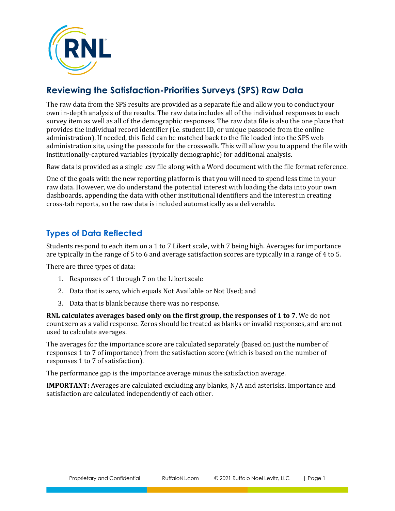

# **Reviewing the Satisfaction-Priorities Surveys (SPS) Raw Data**

The raw data from the SPS results are provided as a separate file and allow you to conduct your own in-depth analysis of the results. The raw data includes all of the individual responses to each survey item as well as all of the demographic responses. The raw data file is also the one place that provides the individual record identifier (i.e. student ID, or unique passcode from the online administration). If needed, this field can be matched back to the file loaded into the SPS web administration site, using the passcode for the crosswalk. This will allow you to append the file with institutionally-captured variables (typically demographic) for additional analysis.

Raw data is provided as a single .csv file along with a Word document with the file format reference.

One of the goals with the new reporting platform is that you will need to spend less time in your raw data. However, we do understand the potential interest with loading the data into your own dashboards, appending the data with other institutional identifiers and the interest in creating cross-tab reports, so the raw data is included automatically as a deliverable.

## **Types of Data Reflected**

Students respond to each item on a 1 to 7 Likert scale, with 7 being high. Averages for importance are typically in the range of 5 to 6 and average satisfaction scores are typically in a range of 4 to 5.

There are three types of data:

- 1. Responses of 1 through 7 on the Likert scale
- 2. Data that is zero, which equals Not Available or Not Used; and
- 3. Data that is blank because there was no response.

**RNL calculates averages based only on the first group, the responses of 1 to 7**. We do not count zero as a valid response. Zeros should be treated as blanks or invalid responses, and are not used to calculate averages.

The averages for the importance score are calculated separately (based on just the number of responses 1 to 7 of importance) from the satisfaction score (which is based on the number of responses 1 to 7 of satisfaction).

The performance gap is the importance average minus the satisfaction average.

**IMPORTANT:** Averages are calculated excluding any blanks, N/A and asterisks. Importance and satisfaction are calculated independently of each other.